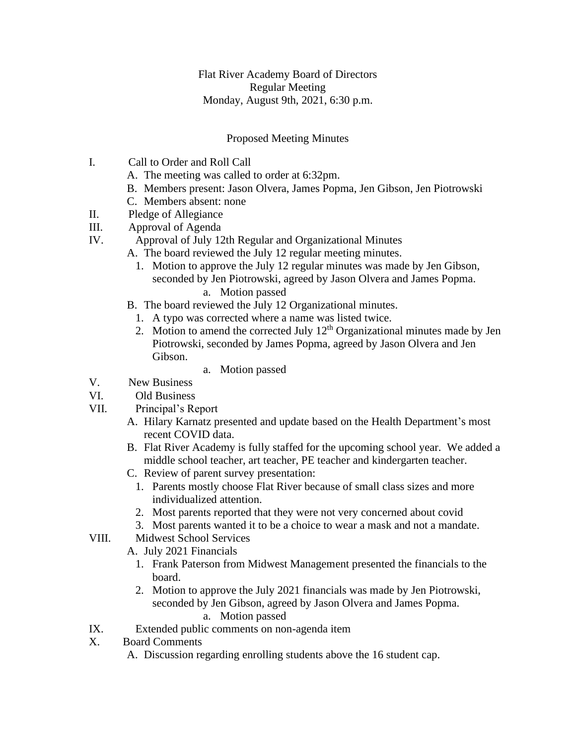Flat River Academy Board of Directors Regular Meeting Monday, August 9th, 2021, 6:30 p.m.

## Proposed Meeting Minutes

- I. Call to Order and Roll Call
	- A. The meeting was called to order at 6:32pm.
	- B. Members present: Jason Olvera, James Popma, Jen Gibson, Jen Piotrowski
	- C. Members absent: none
- II. Pledge of Allegiance
- III. Approval of Agenda
- IV. Approval of July 12th Regular and Organizational Minutes
	- A. The board reviewed the July 12 regular meeting minutes.
		- 1. Motion to approve the July 12 regular minutes was made by Jen Gibson, seconded by Jen Piotrowski, agreed by Jason Olvera and James Popma. a. Motion passed
	- B. The board reviewed the July 12 Organizational minutes.
		- 1. A typo was corrected where a name was listed twice.
		- 2. Motion to amend the corrected July  $12<sup>th</sup>$  Organizational minutes made by Jen Piotrowski, seconded by James Popma, agreed by Jason Olvera and Jen Gibson.
			- a. Motion passed
- V. New Business
- VI. Old Business
- VII. Principal's Report
	- A. Hilary Karnatz presented and update based on the Health Department's most recent COVID data.
	- B. Flat River Academy is fully staffed for the upcoming school year. We added a middle school teacher, art teacher, PE teacher and kindergarten teacher.
	- C. Review of parent survey presentation:
		- 1. Parents mostly choose Flat River because of small class sizes and more individualized attention.
		- 2. Most parents reported that they were not very concerned about covid
	- 3. Most parents wanted it to be a choice to wear a mask and not a mandate.
- VIII. Midwest School Services
	- A. July 2021 Financials
		- 1. Frank Paterson from Midwest Management presented the financials to the board.
		- 2. Motion to approve the July 2021 financials was made by Jen Piotrowski, seconded by Jen Gibson, agreed by Jason Olvera and James Popma. a. Motion passed
- IX. Extended public comments on non-agenda item
- X. Board Comments
	- A. Discussion regarding enrolling students above the 16 student cap.